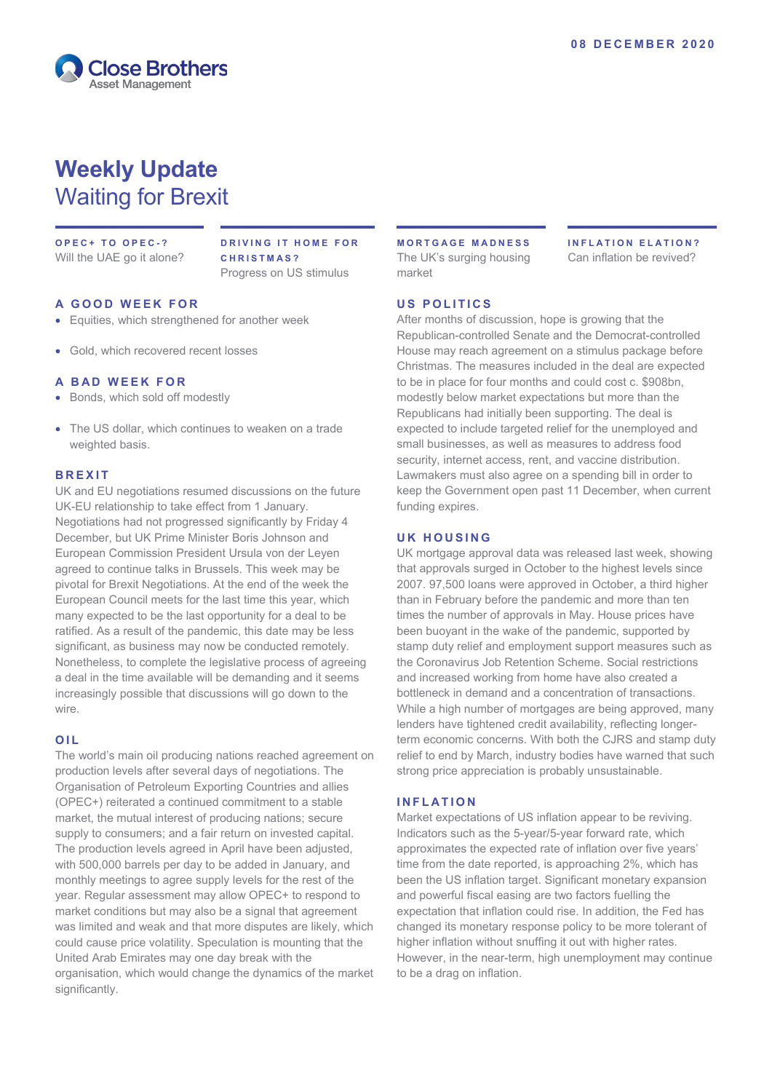

# **Weekly Update** Waiting for Brexit

**OPEC+ TO OPEC - ?** Will the UAE go it alone? **DRIVING IT HOME FOR CHRISTMAS?** Progress on US stimulus

#### **A GOOD WEEK FOR**

- Equities, which strengthened for another week
- Gold, which recovered recent losses

#### **A BAD WEEK FOR**

- Bonds, which sold off modestly
- The US dollar, which continues to weaken on a trade weighted basis.

#### **BREXIT**

UK and EU negotiations resumed discussions on the future UK-EU relationship to take effect from 1 January. Negotiations had not progressed significantly by Friday 4 December, but UK Prime Minister Boris Johnson and European Commission President Ursula von der Leyen agreed to continue talks in Brussels. This week may be pivotal for Brexit Negotiations. At the end of the week the European Council meets for the last time this year, which many expected to be the last opportunity for a deal to be ratified. As a result of the pandemic, this date may be less significant, as business may now be conducted remotely. Nonetheless, to complete the legislative process of agreeing a deal in the time available will be demanding and it seems increasingly possible that discussions will go down to the wire.

### **OIL**

The world's main oil producing nations reached agreement on production levels after several days of negotiations. The Organisation of Petroleum Exporting Countries and allies (OPEC+) reiterated a continued commitment to a stable market, the mutual interest of producing nations; secure supply to consumers; and a fair return on invested capital. The production levels agreed in April have been adjusted, with 500,000 barrels per day to be added in January, and monthly meetings to agree supply levels for the rest of the year. Regular assessment may allow OPEC+ to respond to market conditions but may also be a signal that agreement was limited and weak and that more disputes are likely, which could cause price volatility. Speculation is mounting that the United Arab Emirates may one day break with the organisation, which would change the dynamics of the market significantly.

#### **MORTGAGE MADNESS**

The UK's surging housing market

**INFLATION ELATION?** Can inflation be revived?

#### **US POLITICS**

After months of discussion, hope is growing that the Republican-controlled Senate and the Democrat-controlled House may reach agreement on a stimulus package before Christmas. The measures included in the deal are expected to be in place for four months and could cost c. \$908bn, modestly below market expectations but more than the Republicans had initially been supporting. The deal is expected to include targeted relief for the unemployed and small businesses, as well as measures to address food security, internet access, rent, and vaccine distribution. Lawmakers must also agree on a spending bill in order to keep the Government open past 11 December, when current funding expires.

### **UK HOUSING**

UK mortgage approval data was released last week, showing that approvals surged in October to the highest levels since 2007. 97,500 loans were approved in October, a third higher than in February before the pandemic and more than ten times the number of approvals in May. House prices have been buoyant in the wake of the pandemic, supported by stamp duty relief and employment support measures such as the Coronavirus Job Retention Scheme. Social restrictions and increased working from home have also created a bottleneck in demand and a concentration of transactions. While a high number of mortgages are being approved, many lenders have tightened credit availability, reflecting longerterm economic concerns. With both the CJRS and stamp duty relief to end by March, industry bodies have warned that such strong price appreciation is probably unsustainable.

#### **INFLATION**

Market expectations of US inflation appear to be reviving. Indicators such as the 5-year/5-year forward rate, which approximates the expected rate of inflation over five years' time from the date reported, is approaching 2%, which has been the US inflation target. Significant monetary expansion and powerful fiscal easing are two factors fuelling the expectation that inflation could rise. In addition, the Fed has changed its monetary response policy to be more tolerant of higher inflation without snuffing it out with higher rates. However, in the near-term, high unemployment may continue to be a drag on inflation.